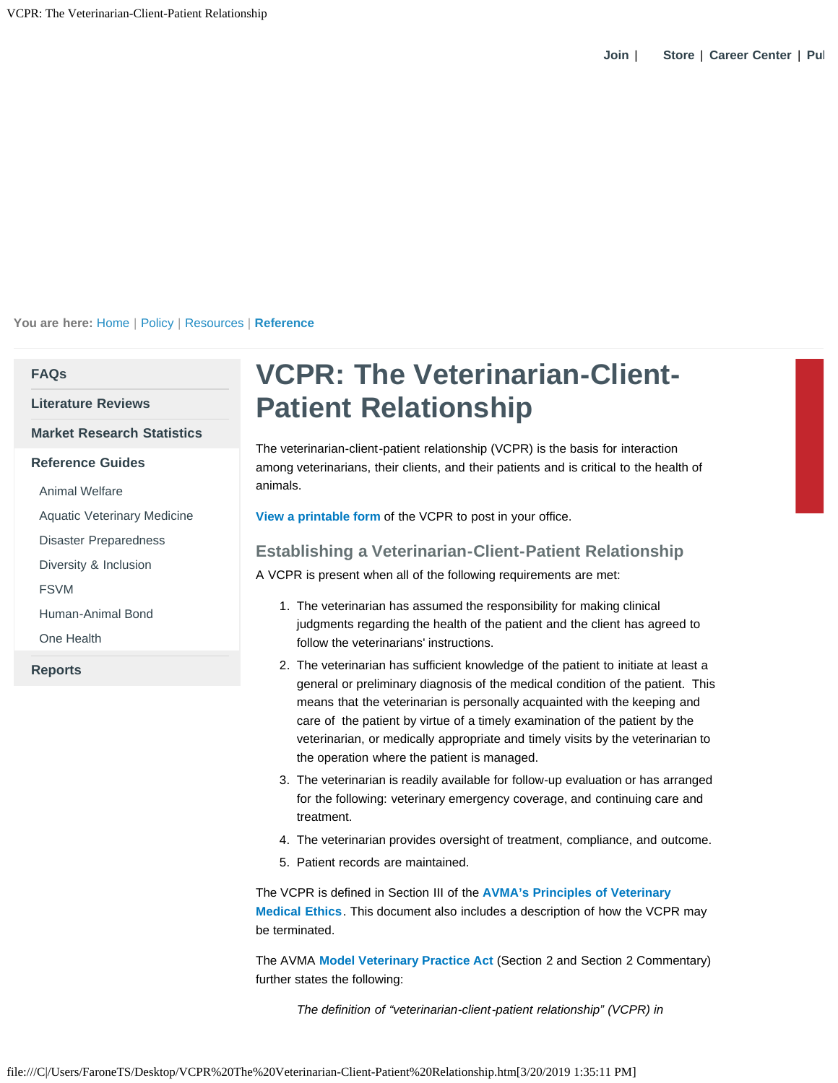**You are here:** [Home](https://www.avma.org/Pages/home.aspx) | [Policy](https://www.avma.org/KB/Pages/default.aspx) | [Resources](https://www.avma.org/KB/Resources/Pages/default.aspx) | **[Reference](https://www.avma.org/KB/Resources/Reference/Pages/default.aspx)**

## **[FAQs](https://www.avma.org/kb/resources/faqs/pages/default.aspx)**

**[Literature Reviews](https://www.avma.org/kb/resources/literaturereviews/pages/default.aspx)**

## **[Market Research Statistics](https://www.avma.org/kb/resources/statistics/pages/default.aspx)**

- **[Reference Guides](https://www.avma.org/kb/resources/reference/pages/default.aspx)**
- [Animal Welfare](https://www.avma.org/kb/resources/reference/animalwelfare/pages/default.aspx)
- [Aquatic Veterinary Medicine](https://www.avma.org/kb/resources/reference/aquatic/pages/default.aspx)

[Disaster Preparedness](https://www.avma.org/kb/resources/reference/disaster/pages/default.aspx)

[Diversity & Inclusion](https://www.avma.org/kb/resources/reference/diversity/pages/default.aspx)

[FSVM](https://www.avma.org/kb/resources/reference/pages/food-supply-veterinary-medicine.aspx)

[Human-Animal Bond](https://www.avma.org/kb/resources/reference/human-animal-bond/pages/human-animal-bond-avma.aspx)

[One Health](https://www.avma.org/kb/resources/reference/pages/one-health.aspx)

**[Reports](https://www.avma.org/kb/resources/reports/pages/default.aspx)**

## **VCPR: The Veterinarian-Client-Patient Relationship**

The veterinarian-client-patient relationship (VCPR) is the basis for interaction among veterinarians, their clients, and their patients and is critical to the health of animals.

**[View a printable form](https://www.avma.org/KB/Resources/Reference/Documents/VCPR_printable.pdf)** of the VCPR to post in your office.

## **Establishing a Veterinarian-Client-Patient Relationship**

A VCPR is present when all of the following requirements are met:

- 1. The veterinarian has assumed the responsibility for making clinical judgments regarding the health of the patient and the client has agreed to follow the veterinarians' instructions.
- 2. The veterinarian has sufficient knowledge of the patient to initiate at least a general or preliminary diagnosis of the medical condition of the patient. This means that the veterinarian is personally acquainted with the keeping and care of the patient by virtue of a timely examination of the patient by the veterinarian, or medically appropriate and timely visits by the veterinarian to the operation where the patient is managed.
- 3. The veterinarian is readily available for follow-up evaluation or has arranged for the following: veterinary emergency coverage, and continuing care and treatment.
- 4. The veterinarian provides oversight of treatment, compliance, and outcome.
- 5. Patient records are maintained.

The VCPR is defined in Section III of the **[AVMA's Principles of Veterinary](https://www.avma.org/KB/Policies/Pages/Principles-of-Veterinary-Medical-Ethics-of-the-AVMA.aspx) [Medical Ethics](https://www.avma.org/KB/Policies/Pages/Principles-of-Veterinary-Medical-Ethics-of-the-AVMA.aspx)**. This document also includes a description of how the VCPR may be terminated.

The AVMA **[Model Veterinary Practice Act](https://www.avma.org/KB/Policies/Pages/Model-Veterinary-Practice-Act.aspx)** (Section 2 and Section 2 Commentary) further states the following:

*The definition of "veterinarian-client-patient relationship" (VCPR) in*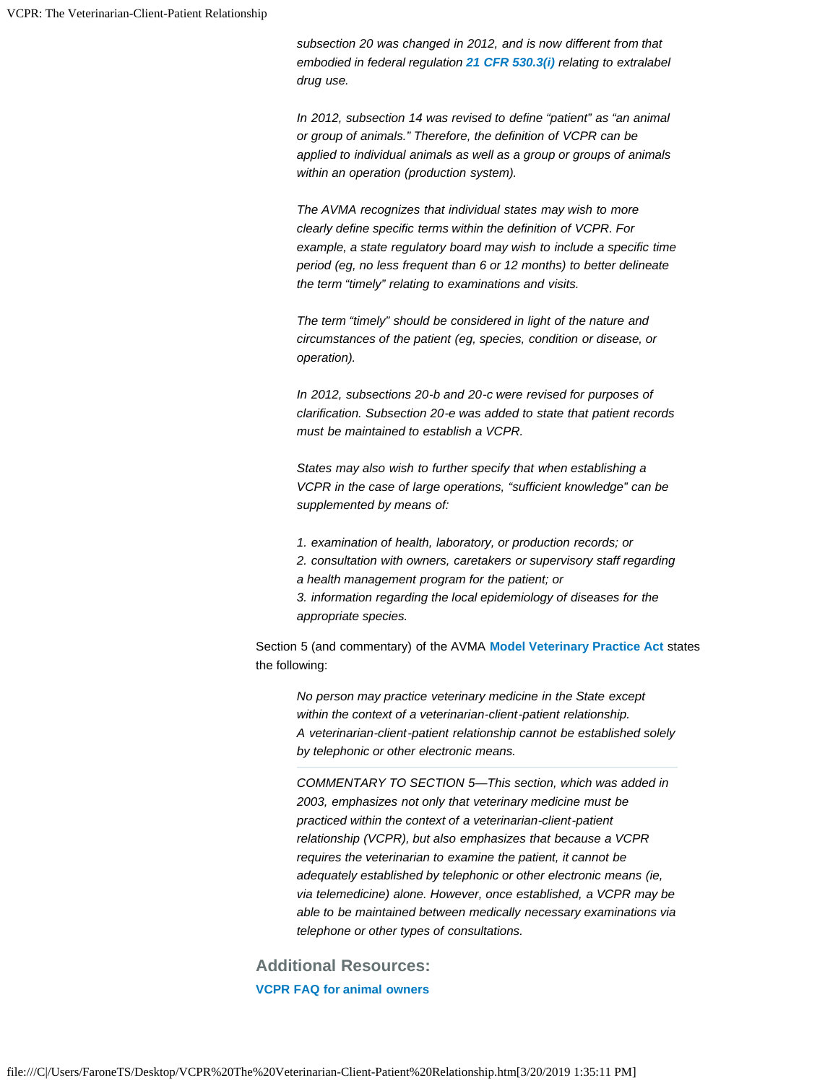*subsection 20 was changed in 2012, and is now different from that embodied in federal regulation [21 CFR 530.3\(i\)](http://www.gpo.gov/fdsys/granule/CFR-2012-title21-vol6/CFR-2012-title21-vol6-sec530-3/content-detail.html) relating to extralabel drug use.*

*In 2012, subsection 14 was revised to define "patient" as "an animal or group of animals." Therefore, the definition of VCPR can be applied to individual animals as well as a group or groups of animals within an operation (production system).*

*The AVMA recognizes that individual states may wish to more clearly define specific terms within the definition of VCPR. For example, a state regulatory board may wish to include a specific time period (eg, no less frequent than 6 or 12 months) to better delineate the term "timely" relating to examinations and visits.*

*The term "timely" should be considered in light of the nature and circumstances of the patient (eg, species, condition or disease, or operation).*

*In 2012, subsections 20-b and 20-c were revised for purposes of clarification. Subsection 20-e was added to state that patient records must be maintained to establish a VCPR.*

*States may also wish to further specify that when establishing a VCPR in the case of large operations, "sufficient knowledge" can be supplemented by means of:*

*1. examination of health, laboratory, or production records; or 2. consultation with owners, caretakers or supervisory staff regarding a health management program for the patient; or 3. information regarding the local epidemiology of diseases for the appropriate species.*

Section 5 (and commentary) of the AVMA **[Model Veterinary Practice Act](https://www.avma.org/KB/Policies/Pages/Model-Veterinary-Practice-Act.aspx)** states the following:

*No person may practice veterinary medicine in the State except within the context of a veterinarian-client-patient relationship. A veterinarian-client-patient relationship cannot be established solely by telephonic or other electronic means.*

*COMMENTARY TO SECTION 5—This section, which was added in 2003, emphasizes not only that veterinary medicine must be practiced within the context of a veterinarian-client-patient relationship (VCPR), but also emphasizes that because a VCPR requires the veterinarian to examine the patient, it cannot be adequately established by telephonic or other electronic means (ie, via telemedicine) alone. However, once established, a VCPR may be able to be maintained between medically necessary examinations via telephone or other types of consultations.*

**Additional Resources: [VCPR FAQ for animal owners](https://www.avma.org/public/PetCare/Pages/VCPR-FAQs.aspx)**